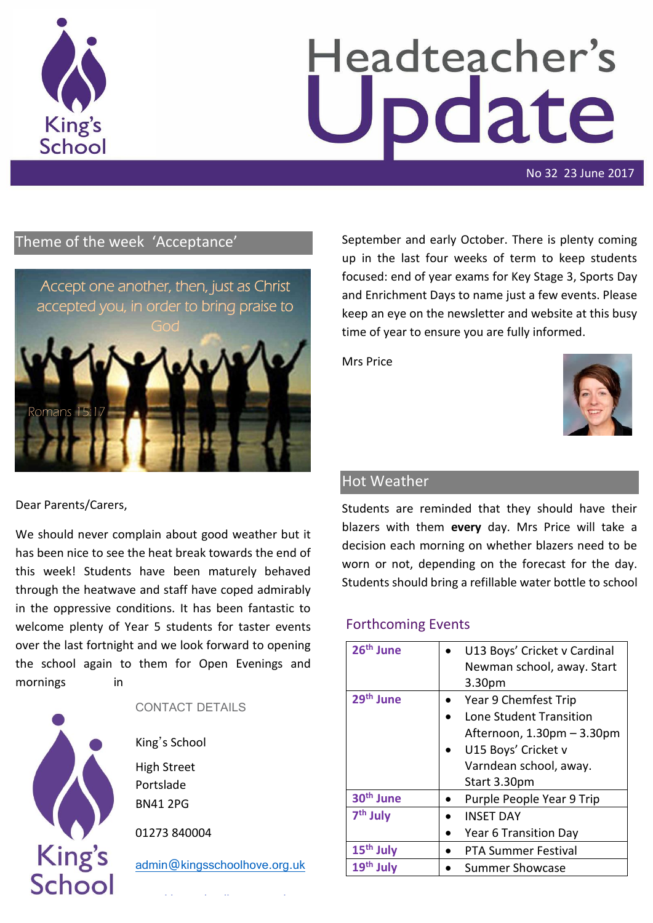

# Headteacher's odate

No 32 23 June 2017

# Theme of the week 'Acceptance'



Dear Parents/Carers,

We should never complain about good weather but it has been nice to see the heat break towards the end of this week! Students have been maturely behaved through the heatwave and staff have coped admirably in the oppressive conditions. It has been fantastic to welcome plenty of Year 5 students for taster events over the last fortnight and we look forward to opening the school again to them for Open Evenings and mornings in



### CONTACT DETAILS

King's School High Street Portslade BN41 2PG

01273 840004

[admin@kingsschoolhove.org.uk](mailto:admin@kingsschoolhove.org.uk)

September and early October. There is plenty coming up in the last four weeks of term to keep students focused: end of year exams for Key Stage 3, Sports Day and Enrichment Days to name just a few events. Please keep an eye on the newsletter and website at this busy time of year to ensure you are fully informed.

Mrs Price



## Hot Weather

Students are reminded that they should have their blazers with them **every** day. Mrs Price will take a decision each morning on whether blazers need to be worn or not, depending on the forecast for the day. Students should bring a refillable water bottle to school

## Forthcoming Events

| 26 <sup>th</sup> June | U13 Boys' Cricket v Cardinal |
|-----------------------|------------------------------|
|                       | Newman school, away. Start   |
|                       | 3.30 <sub>pm</sub>           |
| 29 <sup>th</sup> June | Year 9 Chemfest Trip         |
|                       | Lone Student Transition      |
|                       | Afternoon, 1.30pm - 3.30pm   |
|                       | U15 Boys' Cricket v          |
|                       | Varndean school, away.       |
|                       | Start 3.30pm                 |
| 30 <sup>th</sup> June | Purple People Year 9 Trip    |
| 7 <sup>th</sup> July  | <b>INSET DAY</b>             |
|                       | Year 6 Transition Day        |
| 15 <sup>th</sup> July | <b>PTA Summer Festival</b>   |
| 19 <sup>th</sup> July | <b>Summer Showcase</b>       |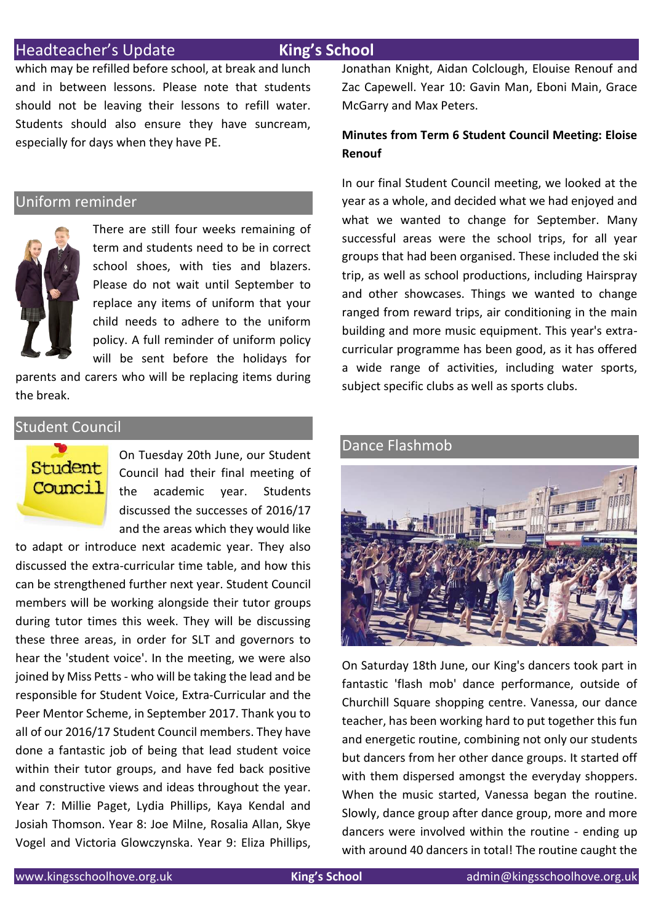### Headteacher's Update **King's School**

which may be refilled before school, at break and lunch and in between lessons. Please note that students should not be leaving their lessons to refill water. Students should also ensure they have suncream, especially for days when they have PE.

### Uniform reminder



There are still four weeks remaining of term and students need to be in correct school shoes, with ties and blazers. Please do not wait until September to replace any items of uniform that your child needs to adhere to the uniform policy. A full reminder of uniform policy will be sent before the holidays for

parents and carers who will be replacing items during the break.

### Student Council



On Tuesday 20th June, our Student Council had their final meeting of the academic year. Students discussed the successes of 2016/17 and the areas which they would like

to adapt or introduce next academic year. They also discussed the extra-curricular time table, and how this can be strengthened further next year. Student Council members will be working alongside their tutor groups during tutor times this week. They will be discussing these three areas, in order for SLT and governors to hear the 'student voice'. In the meeting, we were also joined by Miss Petts - who will be taking the lead and be responsible for Student Voice, Extra-Curricular and the Peer Mentor Scheme, in September 2017. Thank you to all of our 2016/17 Student Council members. They have done a fantastic job of being that lead student voice within their tutor groups, and have fed back positive and constructive views and ideas throughout the year. Year 7: Millie Paget, Lydia Phillips, Kaya Kendal and Josiah Thomson. Year 8: Joe Milne, Rosalia Allan, Skye Vogel and Victoria Glowczynska. Year 9: Eliza Phillips, Jonathan Knight, Aidan Colclough, Elouise Renouf and Zac Capewell. Year 10: Gavin Man, Eboni Main, Grace McGarry and Max Peters.

### **Minutes from Term 6 Student Council Meeting: Eloise Renouf**

In our final Student Council meeting, we looked at the year as a whole, and decided what we had enjoyed and what we wanted to change for September. Many successful areas were the school trips, for all year groups that had been organised. These included the ski trip, as well as school productions, including Hairspray and other showcases. Things we wanted to change ranged from reward trips, air conditioning in the main building and more music equipment. This year's extracurricular programme has been good, as it has offered a wide range of activities, including water sports, subject specific clubs as well as sports clubs.

# Dance Flashmob

On Saturday 18th June, our King's dancers took part in fantastic 'flash mob' dance performance, outside of Churchill Square shopping centre. Vanessa, our dance teacher, has been working hard to put together this fun and energetic routine, combining not only our students but dancers from her other dance groups. It started off with them dispersed amongst the everyday shoppers. When the music started, Vanessa began the routine. Slowly, dance group after dance group, more and more dancers were involved within the routine - ending up with around 40 dancers in total! The routine caught the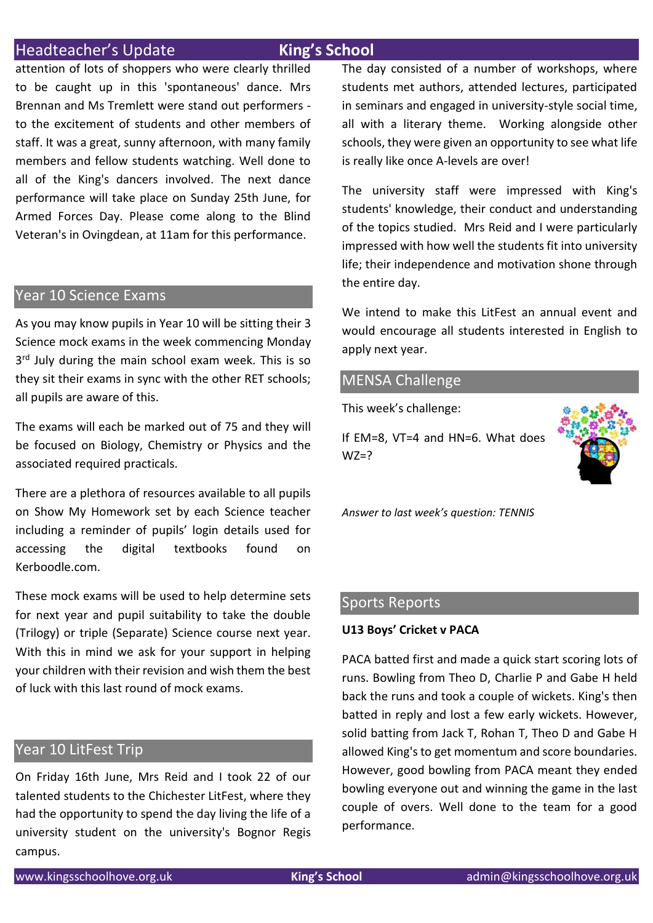### **Headteacher's Update King's School**

attention of lots of shoppers who were clearly thrilled to be caught up in this 'spontaneous' dance. Mrs Brennan and Ms Tremlett were stand out performers to the excitement of students and other members of staff. It was a great, sunny afternoon, with many family members and fellow students watching. Well done to all of the King's dancers involved. The next dance performance will take place on Sunday 25th June, for Armed Forces Day. Please come along to the Blind Veteran's in Ovingdean, at 11am for this performance.

### Year 10 Science Exams

As you may know pupils in Year 10 will be sitting their 3 Science mock exams in the week commencing Monday 3<sup>rd</sup> July during the main school exam week. This is so they sit their exams in sync with the other RET schools; all pupils are aware of this.

The exams will each be marked out of 75 and they will be focused on Biology, Chemistry or Physics and the associated required practicals.

There are a plethora of resources available to all pupils on Show My Homework set by each Science teacher including a reminder of pupils' login details used for accessing the digital textbooks found on Kerboodle.com.

These mock exams will be used to help determine sets for next year and pupil suitability to take the double (Trilogy) or triple (Separate) Science course next year. With this in mind we ask for your support in helping your children with their revision and wish them the best of luck with this last round of mock exams.

### Year 10 LitFest Trip

On Friday 16th June, Mrs Reid and I took 22 of our talented students to the Chichester LitFest, where they had the opportunity to spend the day living the life of a university student on the university's Bognor Regis campus.

The day consisted of a number of workshops, where students met authors, attended lectures, participated in seminars and engaged in university-style social time, all with a literary theme. Working alongside other schools, they were given an opportunity to see what life is really like once A-levels are over!

The university staff were impressed with King's students' knowledge, their conduct and understanding of the topics studied. Mrs Reid and I were particularly impressed with how well the students fit into university life; their independence and motivation shone through the entire day.

We intend to make this LitFest an annual event and would encourage all students interested in English to apply next year.

### MENSA Challenge

This week's challenge:

If EM=8, VT=4 and HN=6. What does  $WZ=$ ?



*Answer to last week's question: TENNIS*

### Sports Reports

### **U13 Boys' Cricket v PACA**

PACA batted first and made a quick start scoring lots of runs. Bowling from Theo D, Charlie P and Gabe H held back the runs and took a couple of wickets. King's then batted in reply and lost a few early wickets. However, solid batting from Jack T, Rohan T, Theo D and Gabe H allowed King's to get momentum and score boundaries. However, good bowling from PACA meant they ended bowling everyone out and winning the game in the last couple of overs. Well done to the team for a good performance.